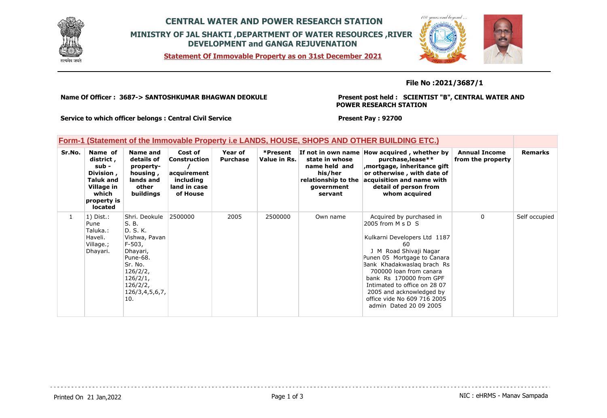

## **CENTRAL WATER AND POWER RESEARCH STATION MINISTRY OF JAL SHAKTI ,DEPARTMENT OF WATER RESOURCES ,RIVER DEVELOPMENT and GANGA REJUVENATION**

**Statement Of Immovable Property as on 31st December 2021**



## **File No :2021/3687/1**

**Name Of Officer : 3687-> SANTOSHKUMAR BHAGWAN DEOKULE** 

## **Present post held : SCIENTIST "B", CENTRAL WATER AND POWER RESEARCH STATION**

**Service to which officer belongs : Central Civil Service**

**Present Pay : 92700**

| Form-1 (Statement of the Immovable Property i.e LANDS, HOUSE, SHOPS AND OTHER BUILDING ETC.) |  |
|----------------------------------------------------------------------------------------------|--|
|                                                                                              |  |

| Sr.No.       | Name of<br>district,<br>sub -<br>Division,<br>Taluk and<br>Village in<br>which<br>property is<br><b>located</b> | Name and<br>details of<br>property-<br>housing,<br>lands and<br>other<br>buildings                                                                                | Cost of<br>Construction<br>acquirement<br>including<br>land in case<br>of House | Year of<br><b>Purchase</b> | *Present<br>Value in Rs. | state in whose<br>name held and<br>his/her<br>relationship to the<br>government<br>servant | If not in own name How acquired, whether by<br>purchase, lease**<br>mortgage, inheritance gift,<br>or otherwise, with date of<br>acquisition and name with<br>detail of person from<br>whom acquired                                                                                                                                                     | <b>Annual Income</b><br>from the property | <b>Remarks</b> |
|--------------|-----------------------------------------------------------------------------------------------------------------|-------------------------------------------------------------------------------------------------------------------------------------------------------------------|---------------------------------------------------------------------------------|----------------------------|--------------------------|--------------------------------------------------------------------------------------------|----------------------------------------------------------------------------------------------------------------------------------------------------------------------------------------------------------------------------------------------------------------------------------------------------------------------------------------------------------|-------------------------------------------|----------------|
| $\mathbf{1}$ | $1)$ Dist.:<br>Pune<br>Taluka.:<br>Haveli.<br>Village.;<br>Dhayari.                                             | Shri, Deokule<br>S. B.<br>D. S. K.<br>Vishwa, Pavan<br>F-503,<br>Dhayari,<br>Pune-68.<br>Sr. No.<br>126/2/2,<br>126/2/1,<br>126/2/2,<br>126/3, 4, 5, 6, 7,<br>10. | 2500000                                                                         | 2005                       | 2500000                  | Own name                                                                                   | Acquired by purchased in<br>2005 from M s D S<br>Kulkarni Developers Ltd 1187<br>60<br>Road Shivaji Nagar<br>J M<br>Punen 05 Mortgage to Canara<br>Bank Khadakwaslag brach Rs<br>700000 loan from canara<br>bank Rs 170000 from GPF<br>Intimated to office on 28 07<br>2005 and acknowledged by<br>office vide No 609 716 2005<br>admin Dated 20 09 2005 | $\mathbf{0}$                              | Self occupied  |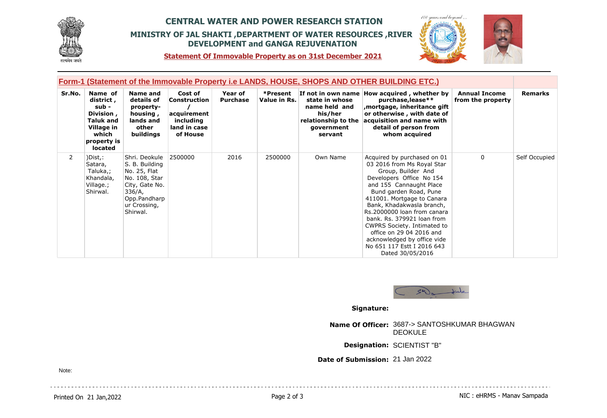

## **CENTRAL WATER AND POWER RESEARCH STATION MINISTRY OF JAL SHAKTI ,DEPARTMENT OF WATER RESOURCES ,RIVER DEVELOPMENT and GANGA REJUVENATION**



**Statement Of Immovable Property as on 31st December 2021**

| Form-1 (Statement of the Immovable Property i.e LANDS, HOUSE, SHOPS AND OTHER BUILDING ETC.) |                                                                                                                  |                                                                                                                                          |                                                                                 |                            |                          |                                                                                            |                                                                                                                                                                                                                                                                                                                                                                                                                                       |                                           |               |
|----------------------------------------------------------------------------------------------|------------------------------------------------------------------------------------------------------------------|------------------------------------------------------------------------------------------------------------------------------------------|---------------------------------------------------------------------------------|----------------------------|--------------------------|--------------------------------------------------------------------------------------------|---------------------------------------------------------------------------------------------------------------------------------------------------------------------------------------------------------------------------------------------------------------------------------------------------------------------------------------------------------------------------------------------------------------------------------------|-------------------------------------------|---------------|
| Sr.No.                                                                                       | Name of<br>district ,<br>sub -<br>Division,<br><b>Taluk and</b><br>Village in<br>which<br>property is<br>located | Name and<br>details of<br>property-<br>housing,<br>lands and<br>other<br>buildings                                                       | Cost of<br>Construction<br>acquirement<br>including<br>land in case<br>of House | Year of<br><b>Purchase</b> | *Present<br>Value in Rs. | state in whose<br>name held and<br>his/her<br>relationship to the<br>government<br>servant | If not in own name How acquired, whether by<br>purchase, lease**<br>mortgage, inheritance gift,<br>or otherwise, with date of<br>acquisition and name with<br>detail of person from<br>whom acquired                                                                                                                                                                                                                                  | <b>Annual Income</b><br>from the property | Remarks       |
| $\overline{2}$                                                                               | )Dist, :<br>Satara,<br>Taluka,;<br>Khandala,<br>Village.;<br>Shirwal.                                            | Shri, Deokule<br>S. B. Building<br>No. 25, Flat<br>No. 108, Star<br>City, Gate No.<br>336/A,<br>Opp.Pandharp<br>ur Crossing,<br>Shirwal. | 2500000                                                                         | 2016                       | 2500000                  | Own Name                                                                                   | Acquired by purchased on 01<br>03 2016 from Ms Royal Star<br>Group, Builder And<br>Developers Office No 154<br>and 155 Cannaught Place<br>Bund garden Road, Pune<br>411001. Mortgage to Canara<br>Bank, Khadakwasla branch,<br>Rs. 2000000 loan from canara<br>bank, Rs. 379921 loan from<br>CWPRS Society. Intimated to<br>office on 29 04 2016 and<br>acknowledged by office vide<br>No 651 117 Estt I 2016 643<br>Dated 30/05/2016 | $\Omega$                                  | Self Occupied |



**Signature:**

**Name Of Officer:** 3687-> SANTOSHKUMAR BHAGWAN DEOKULE

**Designation:** SCIENTIST "B"

**Date of Submission:** 21 Jan 2022

Note: